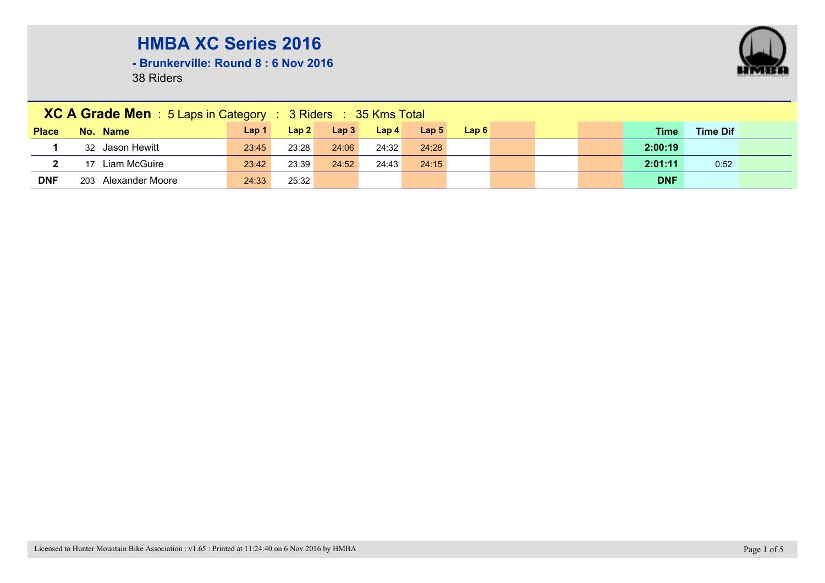

**- Brunkerville: Round 8 : 6 Nov 2016**

|              | XC A Grade Men : 5 Laps in Category : 3 Riders : 35 Kms Total |                  |       |       |                  |                  |      |  |  |  |             |                 |  |
|--------------|---------------------------------------------------------------|------------------|-------|-------|------------------|------------------|------|--|--|--|-------------|-----------------|--|
| <b>Place</b> | No. Name                                                      | Lap <sub>1</sub> | Lap2  | Lap3  | Lap <sub>4</sub> | Lap <sub>5</sub> | Lap6 |  |  |  | <b>Time</b> | <b>Time Dif</b> |  |
|              | 32 Jason Hewitt                                               | 23:45            | 23:28 | 24:06 | 24:32            | 24:28            |      |  |  |  | 2:00:19     |                 |  |
|              | Liam McGuire                                                  | 23:42            | 23:39 | 24:52 | 24:43            | 24:15            |      |  |  |  | 2:01:11     | 0:52            |  |
| <b>DNF</b>   | 203 Alexander Moore                                           | 24:33            | 25:32 |       |                  |                  |      |  |  |  | <b>DNF</b>  |                 |  |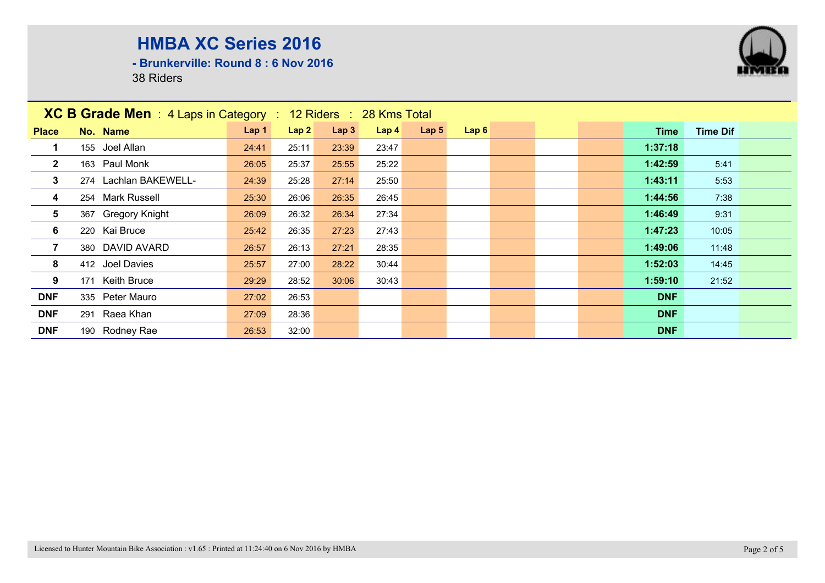**- Brunkerville: Round 8 : 6 Nov 2016**

| <b>XC B Grade Men</b> : 4 Laps in Category : 12 Riders : 28 Kms Total |                       |                  |       |                  |                  |                  |      |  |            |                 |  |
|-----------------------------------------------------------------------|-----------------------|------------------|-------|------------------|------------------|------------------|------|--|------------|-----------------|--|
| <b>Place</b>                                                          | No. Name              | Lap <sub>1</sub> | Lap2  | Lap <sub>3</sub> | Lap <sub>4</sub> | Lap <sub>5</sub> | Lap6 |  | Time       | <b>Time Dif</b> |  |
|                                                                       | 155 Joel Allan        | 24:41            | 25:11 | 23:39            | 23:47            |                  |      |  | 1:37:18    |                 |  |
| $\overline{2}$                                                        | 163 Paul Monk         | 26:05            | 25:37 | 25:55            | 25:22            |                  |      |  | 1:42:59    | 5:41            |  |
| $\mathbf{3}$                                                          | 274 Lachlan BAKEWELL- | 24:39            | 25:28 | 27:14            | 25:50            |                  |      |  | 1:43:11    | 5:53            |  |
| 4                                                                     | 254 Mark Russell      | 25:30            | 26:06 | 26:35            | 26:45            |                  |      |  | 1:44:56    | 7:38            |  |
| $5\phantom{.0}$                                                       | 367 Gregory Knight    | 26:09            | 26:32 | 26:34            | 27:34            |                  |      |  | 1:46:49    | 9:31            |  |
| 6                                                                     | 220 Kai Bruce         | 25:42            | 26:35 | 27:23            | 27:43            |                  |      |  | 1:47:23    | 10:05           |  |
| $\overline{7}$                                                        | 380 DAVID AVARD       | 26:57            | 26:13 | 27:21            | 28:35            |                  |      |  | 1:49:06    | 11:48           |  |
| 8                                                                     | 412 Joel Davies       | 25:57            | 27:00 | 28:22            | 30:44            |                  |      |  | 1:52:03    | 14:45           |  |
| 9                                                                     | 171 Keith Bruce       | 29:29            | 28:52 | 30:06            | 30:43            |                  |      |  | 1:59:10    | 21:52           |  |
| <b>DNF</b>                                                            | 335 Peter Mauro       | 27:02            | 26:53 |                  |                  |                  |      |  | <b>DNF</b> |                 |  |
| <b>DNF</b>                                                            | 291 Raea Khan         | 27:09            | 28:36 |                  |                  |                  |      |  | <b>DNF</b> |                 |  |
| <b>DNF</b>                                                            | 190 Rodney Rae        | 26:53            | 32:00 |                  |                  |                  |      |  | <b>DNF</b> |                 |  |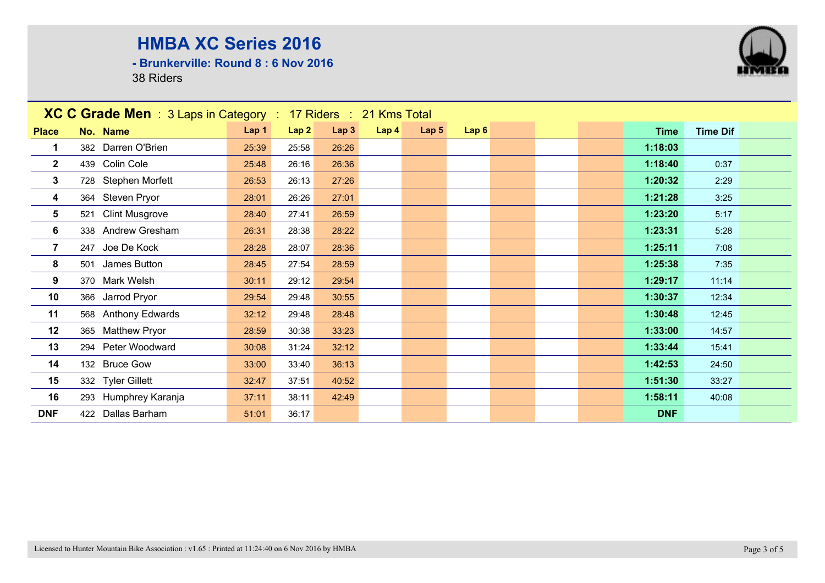**- Brunkerville: Round 8 : 6 Nov 2016**



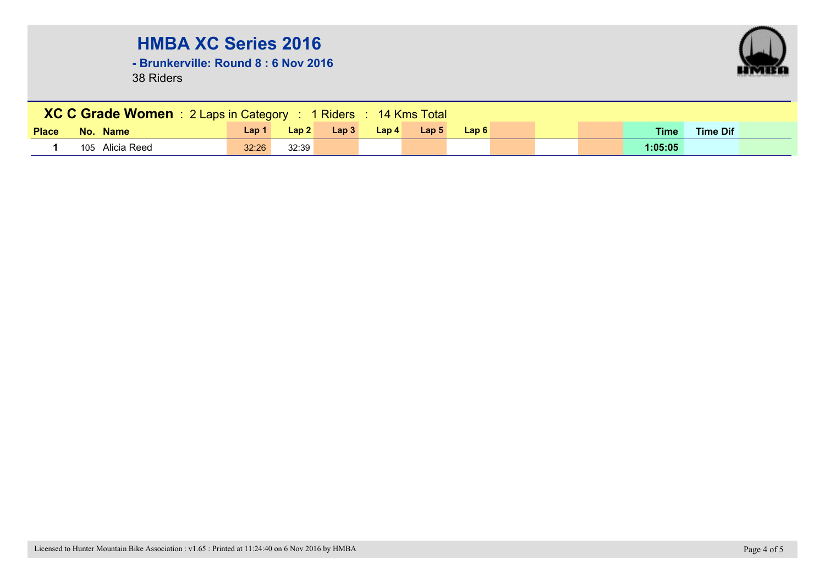**- Brunkerville: Round 8 : 6 Nov 2016**

![](_page_3_Picture_3.jpeg)

| XC C Grade Women : 2 Laps in Category : 1 Riders : 14 Kms Total |                 |       |       |      |       |                  |      |  |  |  |             |                 |  |
|-----------------------------------------------------------------|-----------------|-------|-------|------|-------|------------------|------|--|--|--|-------------|-----------------|--|
| <b>Place</b>                                                    | No. Name        | Lap 1 | Lap2  | Lap3 | Lap 4 | Lap <sub>5</sub> | Lap6 |  |  |  | <b>Time</b> | <b>Time Dif</b> |  |
|                                                                 | 105 Alicia Reed | 32:26 | 32:39 |      |       |                  |      |  |  |  | 1:05:05     |                 |  |